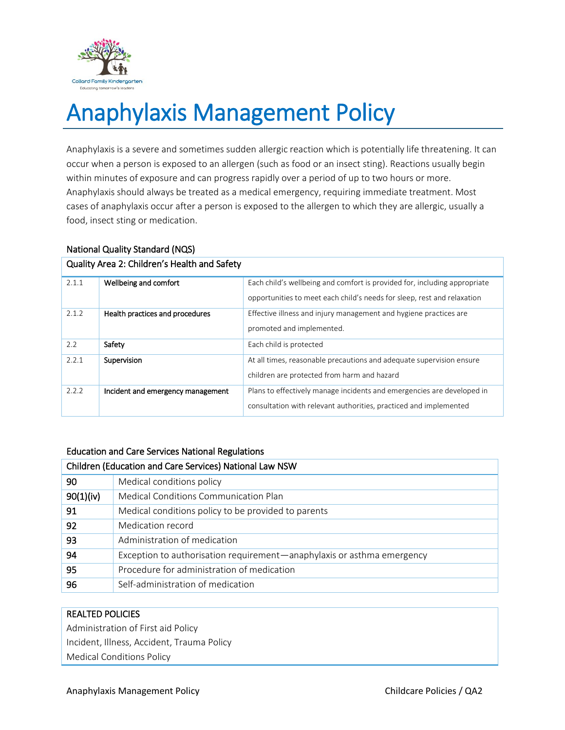

# Anaphylaxis Management Policy

Anaphylaxis is a severe and sometimes sudden allergic reaction which is potentially life threatening. It can occur when a person is exposed to an allergen (such as food or an insect sting). Reactions usually begin within minutes of exposure and can progress rapidly over a period of up to two hours or more. Anaphylaxis should always be treated as a medical emergency, requiring immediate treatment. Most cases of anaphylaxis occur after a person is exposed to the allergen to which they are allergic, usually a food, insect sting or medication.

## National Quality Standard (NQS)

| Quality Area 2: Children's Health and Safety |                                   |                                                                           |  |  |
|----------------------------------------------|-----------------------------------|---------------------------------------------------------------------------|--|--|
| 2.1.1                                        | Wellbeing and comfort             | Each child's wellbeing and comfort is provided for, including appropriate |  |  |
|                                              |                                   | opportunities to meet each child's needs for sleep, rest and relaxation   |  |  |
| 2.1.2                                        | Health practices and procedures   | Effective illness and injury management and hygiene practices are         |  |  |
|                                              |                                   | promoted and implemented.                                                 |  |  |
| 2.2                                          | Safety                            | Each child is protected                                                   |  |  |
| 2.2.1                                        | Supervision                       | At all times, reasonable precautions and adequate supervision ensure      |  |  |
|                                              |                                   | children are protected from harm and hazard                               |  |  |
| 2.2.2                                        | Incident and emergency management | Plans to effectively manage incidents and emergencies are developed in    |  |  |
|                                              |                                   | consultation with relevant authorities, practiced and implemented         |  |  |

# Education and Care Services National Regulations

| Children (Education and Care Services) National Law NSW |                                                                        |  |
|---------------------------------------------------------|------------------------------------------------------------------------|--|
| 90                                                      | Medical conditions policy                                              |  |
| 90(1)(iv)                                               | Medical Conditions Communication Plan                                  |  |
| 91                                                      | Medical conditions policy to be provided to parents                    |  |
| 92                                                      | Medication record                                                      |  |
| 93                                                      | Administration of medication                                           |  |
| 94                                                      | Exception to authorisation requirement—anaphylaxis or asthma emergency |  |
| 95                                                      | Procedure for administration of medication                             |  |
| 96                                                      | Self-administration of medication                                      |  |

# REALTED POLICIES

Administration of First aid Policy Incident, Illness, Accident, Trauma Policy Medical Conditions Policy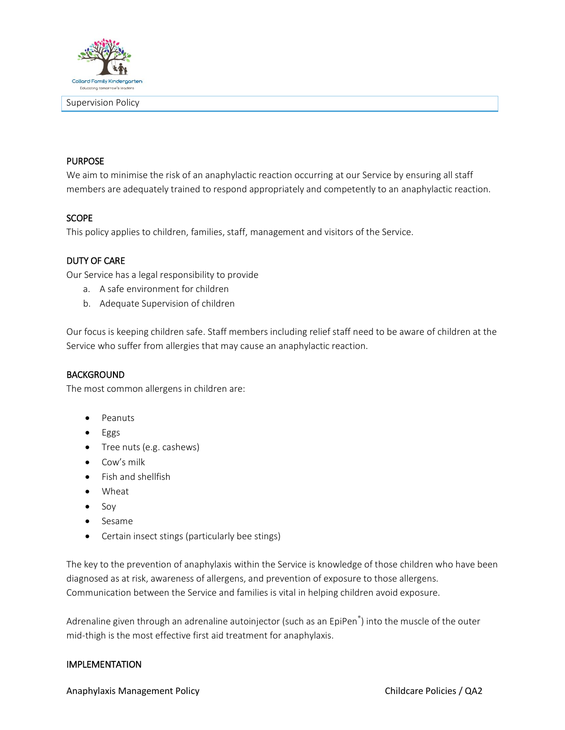

## PURPOSE

We aim to minimise the risk of an anaphylactic reaction occurring at our Service by ensuring all staff members are adequately trained to respond appropriately and competently to an anaphylactic reaction.

## SCOPE

This policy applies to children, families, staff, management and visitors of the Service.

### DUTY OF CARE

Our Service has a legal responsibility to provide

- a. A safe environment for children
- b. Adequate Supervision of children

Our focus is keeping children safe. Staff members including relief staff need to be aware of children at the Service who suffer from allergies that may cause an anaphylactic reaction.

#### BACKGROUND

The most common allergens in children are:

- Peanuts
- Eggs
- Tree nuts (e.g. cashews)
- Cow's milk
- Fish and shellfish
- Wheat
- $\bullet$  Soy
- Sesame
- Certain insect stings (particularly bee stings)

The key to the prevention of anaphylaxis within the Service is knowledge of those children who have been diagnosed as at risk, awareness of allergens, and prevention of exposure to those allergens. Communication between the Service and families is vital in helping children avoid exposure.

Adrenaline given through an adrenaline autoinjector (such as an EpiPen® ) into the muscle of the outer mid-thigh is the most effective first aid treatment for anaphylaxis.

### IMPLEMENTATION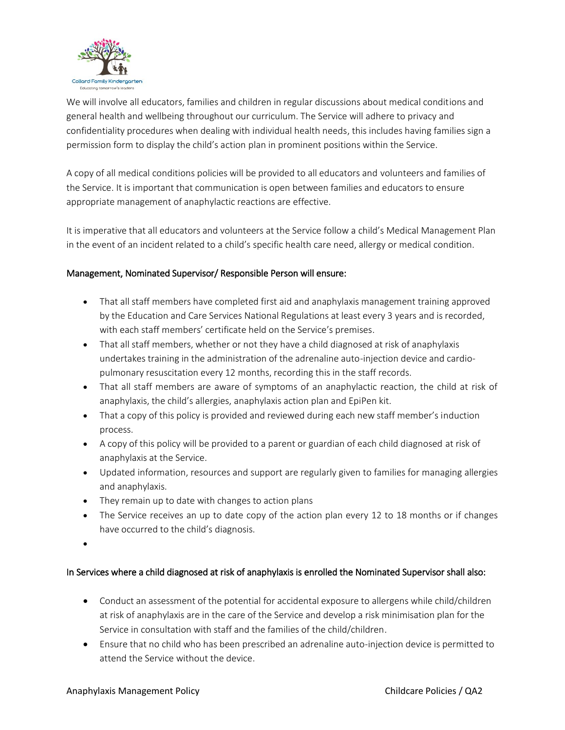

We will involve all educators, families and children in regular discussions about medical conditions and general health and wellbeing throughout our curriculum. The Service will adhere to privacy and confidentiality procedures when dealing with individual health needs, this includes having families sign a permission form to display the child's action plan in prominent positions within the Service.

A copy of all medical conditions policies will be provided to all educators and volunteers and families of the Service. It is important that communication is open between families and educators to ensure appropriate management of anaphylactic reactions are effective.

It is imperative that all educators and volunteers at the Service follow a child's Medical Management Plan in the event of an incident related to a child's specific health care need, allergy or medical condition.

# Management, Nominated Supervisor/ Responsible Person will ensure:

- That all staff members have completed first aid and anaphylaxis management training approved by the Education and Care Services National Regulations at least every 3 years and is recorded, with each staff members' certificate held on the Service's premises.
- That all staff members, whether or not they have a child diagnosed at risk of anaphylaxis undertakes training in the administration of the adrenaline auto-injection device and cardiopulmonary resuscitation every 12 months, recording this in the staff records.
- That all staff members are aware of symptoms of an anaphylactic reaction, the child at risk of anaphylaxis, the child's allergies, anaphylaxis action plan and EpiPen kit.
- That a copy of this policy is provided and reviewed during each new staff member's induction process.
- A copy of this policy will be provided to a parent or guardian of each child diagnosed at risk of anaphylaxis at the Service.
- Updated information, resources and support are regularly given to families for managing allergies and anaphylaxis.
- They remain up to date with changes to action plans
- The Service receives an up to date copy of the action plan every 12 to 18 months or if changes have occurred to the child's diagnosis.
- $\bullet$

# In Services where a child diagnosed at risk of anaphylaxis is enrolled the Nominated Supervisor shall also:

- Conduct an assessment of the potential for accidental exposure to allergens while child/children at risk of anaphylaxis are in the care of the Service and develop a risk minimisation plan for the Service in consultation with staff and the families of the child/children.
- Ensure that no child who has been prescribed an adrenaline auto-injection device is permitted to attend the Service without the device.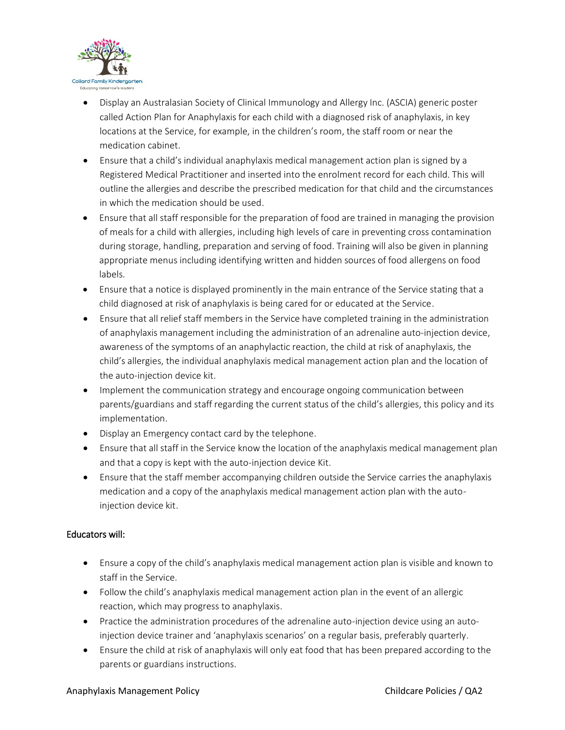

- Display an Australasian Society of Clinical Immunology and Allergy Inc. (ASCIA) generic poster called Action Plan for Anaphylaxis for each child with a diagnosed risk of anaphylaxis, in key locations at the Service, for example, in the children's room, the staff room or near the medication cabinet.
- Ensure that a child's individual anaphylaxis medical management action plan is signed by a Registered Medical Practitioner and inserted into the enrolment record for each child. This will outline the allergies and describe the prescribed medication for that child and the circumstances in which the medication should be used.
- Ensure that all staff responsible for the preparation of food are trained in managing the provision of meals for a child with allergies, including high levels of care in preventing cross contamination during storage, handling, preparation and serving of food. Training will also be given in planning appropriate menus including identifying written and hidden sources of food allergens on food labels.
- Ensure that a notice is displayed prominently in the main entrance of the Service stating that a child diagnosed at risk of anaphylaxis is being cared for or educated at the Service.
- Ensure that all relief staff members in the Service have completed training in the administration of anaphylaxis management including the administration of an adrenaline auto-injection device, awareness of the symptoms of an anaphylactic reaction, the child at risk of anaphylaxis, the child's allergies, the individual anaphylaxis medical management action plan and the location of the auto-injection device kit.
- Implement the communication strategy and encourage ongoing communication between parents/guardians and staff regarding the current status of the child's allergies, this policy and its implementation.
- Display an Emergency contact card by the telephone.
- Ensure that all staff in the Service know the location of the anaphylaxis medical management plan and that a copy is kept with the auto-injection device Kit.
- Ensure that the staff member accompanying children outside the Service carries the anaphylaxis medication and a copy of the anaphylaxis medical management action plan with the autoinjection device kit.

# Educators will:

- Ensure a copy of the child's anaphylaxis medical management action plan is visible and known to staff in the Service.
- Follow the child's anaphylaxis medical management action plan in the event of an allergic reaction, which may progress to anaphylaxis.
- Practice the administration procedures of the adrenaline auto-injection device using an autoinjection device trainer and 'anaphylaxis scenarios' on a regular basis, preferably quarterly.
- Ensure the child at risk of anaphylaxis will only eat food that has been prepared according to the parents or guardians instructions.

#### Anaphylaxis Management Policy Childcare Policies / QA2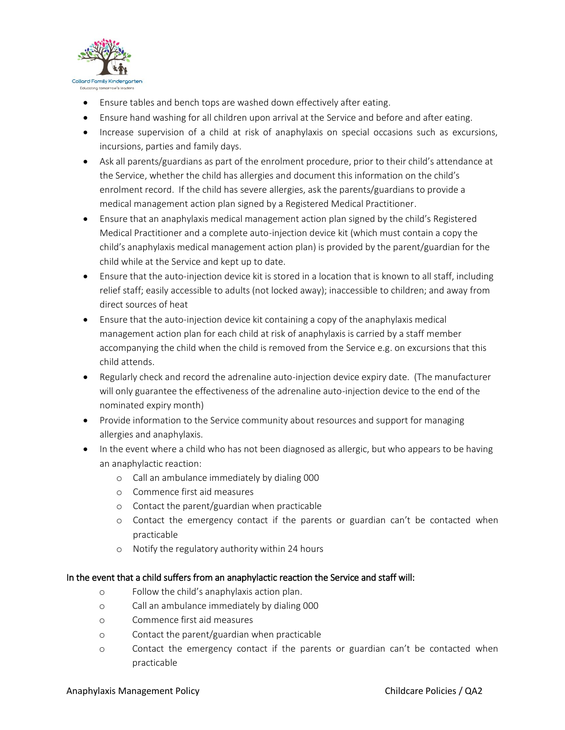

- Ensure tables and bench tops are washed down effectively after eating.
- Ensure hand washing for all children upon arrival at the Service and before and after eating.
- Increase supervision of a child at risk of anaphylaxis on special occasions such as excursions, incursions, parties and family days.
- Ask all parents/guardians as part of the enrolment procedure, prior to their child's attendance at the Service, whether the child has allergies and document this information on the child's enrolment record. If the child has severe allergies, ask the parents/guardians to provide a medical management action plan signed by a Registered Medical Practitioner.
- Ensure that an anaphylaxis medical management action plan signed by the child's Registered Medical Practitioner and a complete auto-injection device kit (which must contain a copy the child's anaphylaxis medical management action plan) is provided by the parent/guardian for the child while at the Service and kept up to date.
- Ensure that the auto-injection device kit is stored in a location that is known to all staff, including relief staff; easily accessible to adults (not locked away); inaccessible to children; and away from direct sources of heat
- Ensure that the auto-injection device kit containing a copy of the anaphylaxis medical management action plan for each child at risk of anaphylaxis is carried by a staff member accompanying the child when the child is removed from the Service e.g. on excursions that this child attends.
- Regularly check and record the adrenaline auto-injection device expiry date. (The manufacturer will only guarantee the effectiveness of the adrenaline auto-injection device to the end of the nominated expiry month)
- Provide information to the Service community about resources and support for managing allergies and anaphylaxis.
- In the event where a child who has not been diagnosed as allergic, but who appears to be having an anaphylactic reaction:
	- o Call an ambulance immediately by dialing 000
	- o Commence first aid measures
	- o Contact the parent/guardian when practicable
	- o Contact the emergency contact if the parents or guardian can't be contacted when practicable
	- o Notify the regulatory authority within 24 hours

# In the event that a child suffers from an anaphylactic reaction the Service and staff will:

- o Follow the child's anaphylaxis action plan.
- o Call an ambulance immediately by dialing 000
- o Commence first aid measures
- o Contact the parent/guardian when practicable
- o Contact the emergency contact if the parents or guardian can't be contacted when practicable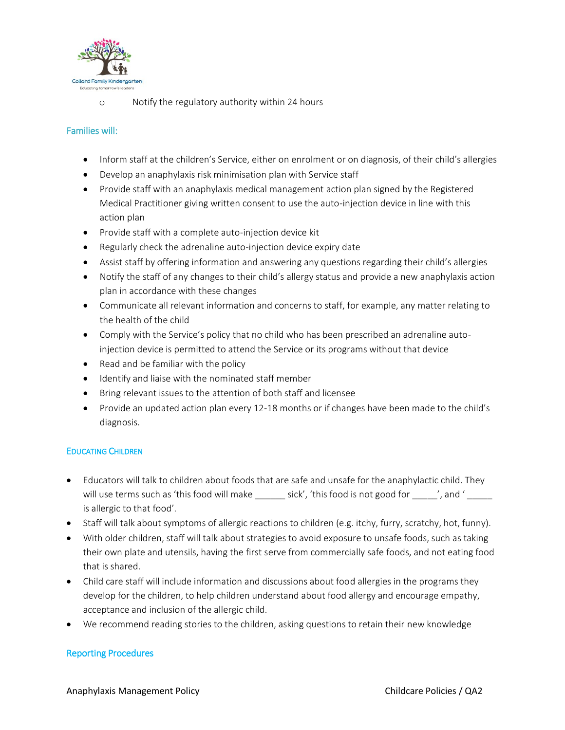

o Notify the regulatory authority within 24 hours

## Families will:

- Inform staff at the children's Service, either on enrolment or on diagnosis, of their child's allergies
- Develop an anaphylaxis risk minimisation plan with Service staff
- Provide staff with an anaphylaxis medical management action plan signed by the Registered Medical Practitioner giving written consent to use the auto-injection device in line with this action plan
- Provide staff with a complete auto-injection device kit
- Regularly check the adrenaline auto-injection device expiry date
- Assist staff by offering information and answering any questions regarding their child's allergies
- Notify the staff of any changes to their child's allergy status and provide a new anaphylaxis action plan in accordance with these changes
- Communicate all relevant information and concerns to staff, for example, any matter relating to the health of the child
- Comply with the Service's policy that no child who has been prescribed an adrenaline autoinjection device is permitted to attend the Service or its programs without that device
- Read and be familiar with the policy
- $\bullet$  Identify and liaise with the nominated staff member
- Bring relevant issues to the attention of both staff and licensee
- Provide an updated action plan every 12-18 months or if changes have been made to the child's diagnosis.

## EDUCATING CHILDREN

- Educators will talk to children about foods that are safe and unsafe for the anaphylactic child. They will use terms such as 'this food will make \_\_\_\_\_\_ sick', 'this food is not good for \_\_\_\_', and ' \_\_\_\_ is allergic to that food'.
- Staff will talk about symptoms of allergic reactions to children (e.g. itchy, furry, scratchy, hot, funny).
- With older children, staff will talk about strategies to avoid exposure to unsafe foods, such as taking their own plate and utensils, having the first serve from commercially safe foods, and not eating food that is shared.
- Child care staff will include information and discussions about food allergies in the programs they develop for the children, to help children understand about food allergy and encourage empathy, acceptance and inclusion of the allergic child.
- We recommend reading stories to the children, asking questions to retain their new knowledge

## Reporting Procedures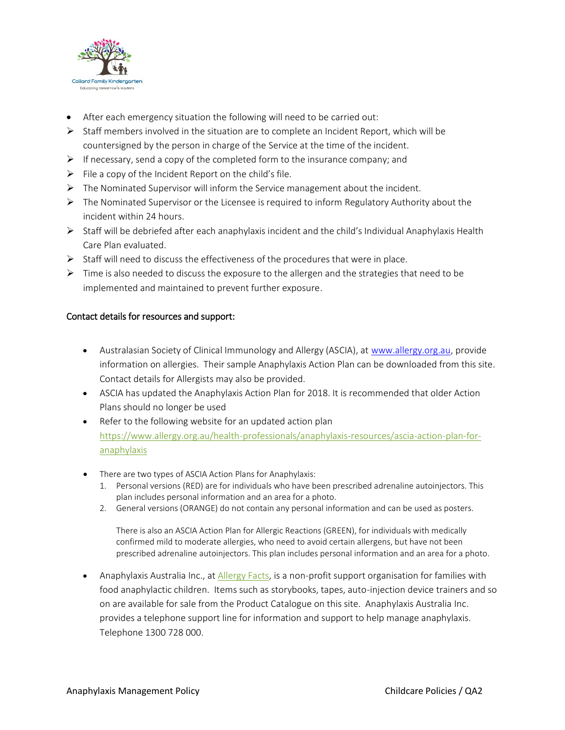

- After each emergency situation the following will need to be carried out:
- $\triangleright$  Staff members involved in the situation are to complete an Incident Report, which will be countersigned by the person in charge of the Service at the time of the incident.
- $\triangleright$  If necessary, send a copy of the completed form to the insurance company; and
- $\triangleright$  File a copy of the Incident Report on the child's file.
- $\triangleright$  The Nominated Supervisor will inform the Service management about the incident.
- $\triangleright$  The Nominated Supervisor or the Licensee is required to inform Regulatory Authority about the incident within 24 hours.
- $\triangleright$  Staff will be debriefed after each anaphylaxis incident and the child's Individual Anaphylaxis Health Care Plan evaluated.
- $\triangleright$  Staff will need to discuss the effectiveness of the procedures that were in place.
- $\triangleright$  Time is also needed to discuss the exposure to the allergen and the strategies that need to be implemented and maintained to prevent further exposure.

## Contact details for resources and support:

- Australasian Society of Clinical Immunology and Allergy (ASCIA), at [www.allergy.org.au,](http://www.allergy.org.au/) provide information on allergies. Their sample Anaphylaxis Action Plan can be downloaded from this site. Contact details for Allergists may also be provided.
- ASCIA has updated the Anaphylaxis Action Plan for 2018. It is recommended that older Action Plans should no longer be used
- Refer to the following website for an updated action plan [https://www.allergy.org.au/health-professionals/anaphylaxis-resources/ascia-action-plan-for](https://www.allergy.org.au/health-professionals/anaphylaxis-resources/ascia-action-plan-for-anaphylaxis)[anaphylaxis](https://www.allergy.org.au/health-professionals/anaphylaxis-resources/ascia-action-plan-for-anaphylaxis)
- There are two types of ASCIA Action Plans for Anaphylaxis:
	- 1. Personal versions (RED) are for individuals who have been prescribed adrenaline autoinjectors. This plan includes personal information and an area for a photo.
	- 2. General versions (ORANGE) do not contain any personal information and can be used as posters.

There is also an ASCIA Action Plan for Allergic Reactions (GREEN), for individuals with medically confirmed mild to moderate allergies, who need to avoid certain allergens, but have not been prescribed adrenaline autoinjectors. This plan includes personal information and an area for a photo.

• Anaphylaxis Australia Inc., at [Allergy Facts,](https://www.allergyfacts.org.au/) is a non-profit support organisation for families with food anaphylactic children. Items such as storybooks, tapes, auto-injection device trainers and so on are available for sale from the Product Catalogue on this site. Anaphylaxis Australia Inc. provides a telephone support line for information and support to help manage anaphylaxis. Telephone 1300 728 000.